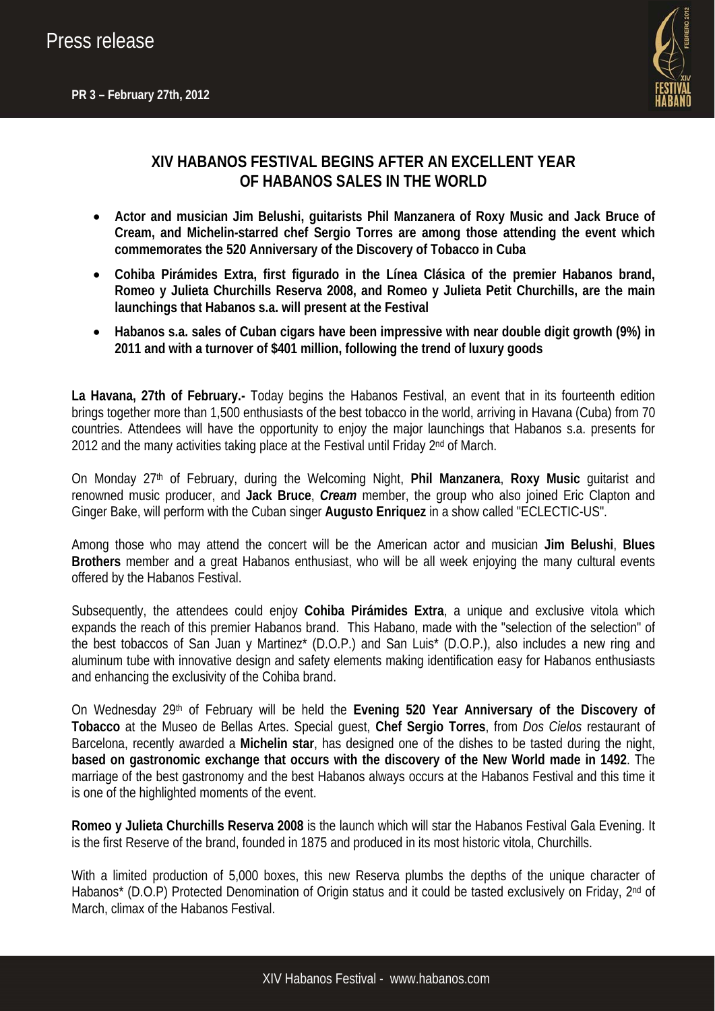# Press release



## **XIV HABANOS FESTIVAL BEGINS AFTER AN EXCELLENT YEAR OF HABANOS SALES IN THE WORLD**

- **Actor and musician Jim Belushi, guitarists Phil Manzanera of Roxy Music and Jack Bruce of Cream, and Michelin-starred chef Sergio Torres are among those attending the event which commemorates the 520 Anniversary of the Discovery of Tobacco in Cuba**
- **Cohiba Pirámides Extra, first figurado in the Línea Clásica of the premier Habanos brand, Romeo y Julieta Churchills Reserva 2008, and Romeo y Julieta Petit Churchills, are the main launchings that Habanos s.a. will present at the Festival**
- **Habanos s.a. sales of Cuban cigars have been impressive with near double digit growth (9%) in 2011 and with a turnover of \$401 million, following the trend of luxury goods**

**La Havana, 27th of February.-** Today begins the Habanos Festival, an event that in its fourteenth edition brings together more than 1,500 enthusiasts of the best tobacco in the world, arriving in Havana (Cuba) from 70 countries. Attendees will have the opportunity to enjoy the major launchings that Habanos s.a. presents for 2012 and the many activities taking place at the Festival until Friday 2<sup>nd</sup> of March.

On Monday 27th of February, during the Welcoming Night, **Phil Manzanera**, **Roxy Music** guitarist and renowned music producer, and **Jack Bruce**, *Cream* member, the group who also joined Eric Clapton and Ginger Bake, will perform with the Cuban singer **Augusto Enriquez** in a show called "ECLECTIC-US".

Among those who may attend the concert will be the American actor and musician **Jim Belushi**, **Blues Brothers** member and a great Habanos enthusiast, who will be all week enjoying the many cultural events offered by the Habanos Festival.

Subsequently, the attendees could enjoy **Cohiba Pirámides Extra**, a unique and exclusive vitola which expands the reach of this premier Habanos brand. This Habano, made with the "selection of the selection" of the best tobaccos of San Juan y Martinez\* (D.O.P.) and San Luis\* (D.O.P.), also includes a new ring and aluminum tube with innovative design and safety elements making identification easy for Habanos enthusiasts and enhancing the exclusivity of the Cohiba brand.

On Wednesday 29th of February will be held the **Evening 520 Year Anniversary of the Discovery of Tobacco** at the Museo de Bellas Artes. Special guest, **Chef Sergio Torres**, from *Dos Cielos* restaurant of Barcelona, recently awarded a **Michelin star**, has designed one of the dishes to be tasted during the night, **based on gastronomic exchange that occurs with the discovery of the New World made in 1492**. The marriage of the best gastronomy and the best Habanos always occurs at the Habanos Festival and this time it is one of the highlighted moments of the event.

**Romeo y Julieta Churchills Reserva 2008** is the launch which will star the Habanos Festival Gala Evening. It is the first Reserve of the brand, founded in 1875 and produced in its most historic vitola, Churchills.

With a limited production of 5,000 boxes, this new Reserva plumbs the depths of the unique character of Habanos<sup>\*</sup> (D.O.P) Protected Denomination of Origin status and it could be tasted exclusively on Friday, 2<sup>nd</sup> of March, climax of the Habanos Festival.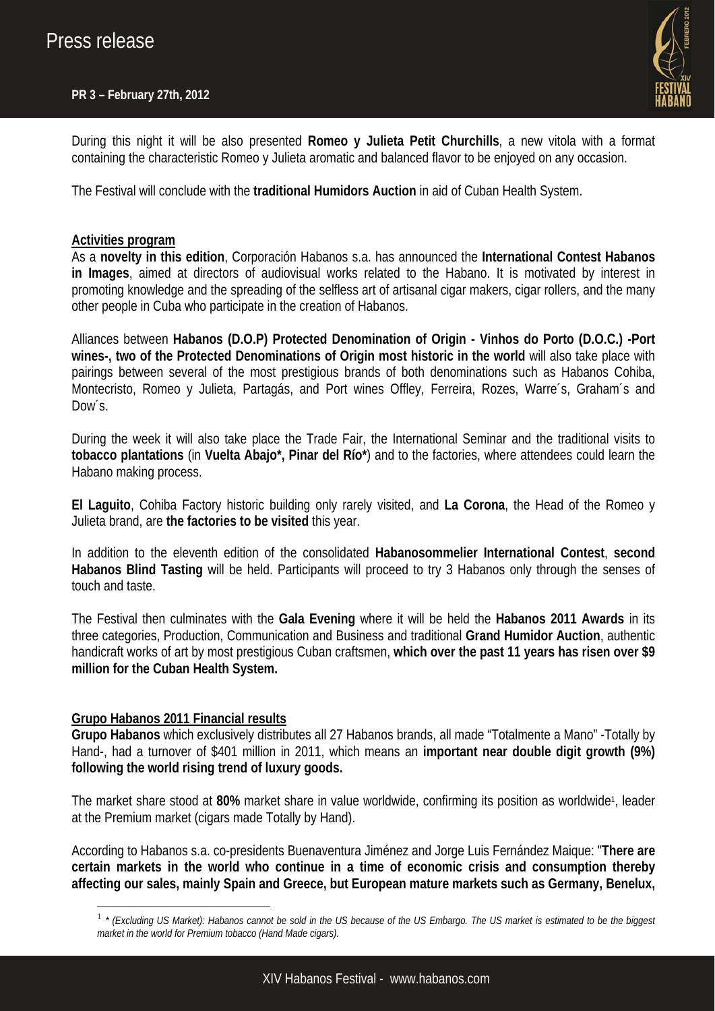## **PR 3 – February 27th, 2012**



During this night it will be also presented **Romeo y Julieta Petit Churchills**, a new vitola with a format containing the characteristic Romeo y Julieta aromatic and balanced flavor to be enjoyed on any occasion.

The Festival will conclude with the **traditional Humidors Auction** in aid of Cuban Health System.

## **Activities program**

As a **novelty in this edition**, Corporación Habanos s.a. has announced the **International Contest Habanos in Images**, aimed at directors of audiovisual works related to the Habano. It is motivated by interest in promoting knowledge and the spreading of the selfless art of artisanal cigar makers, cigar rollers, and the many other people in Cuba who participate in the creation of Habanos.

Alliances between **Habanos (D.O.P) Protected Denomination of Origin - Vinhos do Porto (D.O.C.) -Port wines-, two of the Protected Denominations of Origin most historic in the world** will also take place with pairings between several of the most prestigious brands of both denominations such as Habanos Cohiba, Montecristo, Romeo y Julieta, Partagás, and Port wines Offley, Ferreira, Rozes, Warre´s, Graham´s and Dow's

During the week it will also take place the Trade Fair, the International Seminar and the traditional visits to **tobacco plantations** (in **Vuelta Abajo\*, Pinar del Río\***) and to the factories, where attendees could learn the Habano making process.

**El Laguito**, Cohiba Factory historic building only rarely visited, and **La Corona**, the Head of the Romeo y Julieta brand, are **the factories to be visited** this year.

In addition to the eleventh edition of the consolidated **Habanosommelier International Contest**, **second Habanos Blind Tasting** will be held. Participants will proceed to try 3 Habanos only through the senses of touch and taste.

The Festival then culminates with the **Gala Evening** where it will be held the **Habanos 2011 Awards** in its three categories, Production, Communication and Business and traditional **Grand Humidor Auction**, authentic handicraft works of art by most prestigious Cuban craftsmen, **which over the past 11 years has risen over \$9 million for the Cuban Health System.** 

## **Grupo Habanos 2011 Financial results**

1

**Grupo Habanos** which exclusively distributes all 27 Habanos brands, all made "Totalmente a Mano" -Totally by Hand-, had a turnover of \$401 million in 2011, which means an **important near double digit growth (9%) following the world rising trend of luxury goods.** 

The market share stood at **80%** market share in value worldwide, confirming its position as worldwide1, leader at the Premium market (cigars made Totally by Hand).

According to Habanos s.a. co-presidents Buenaventura Jiménez and Jorge Luis Fernández Maique: "**There are certain markets in the world who continue in a time of economic crisis and consumption thereby affecting our sales, mainly Spain and Greece, but European mature markets such as Germany, Benelux,** 

<sup>1</sup> *\* (Excluding US Market): Habanos cannot be sold in the US because of the US Embargo. The US market is estimated to be the biggest market in the world for Premium tobacco (Hand Made cigars).*